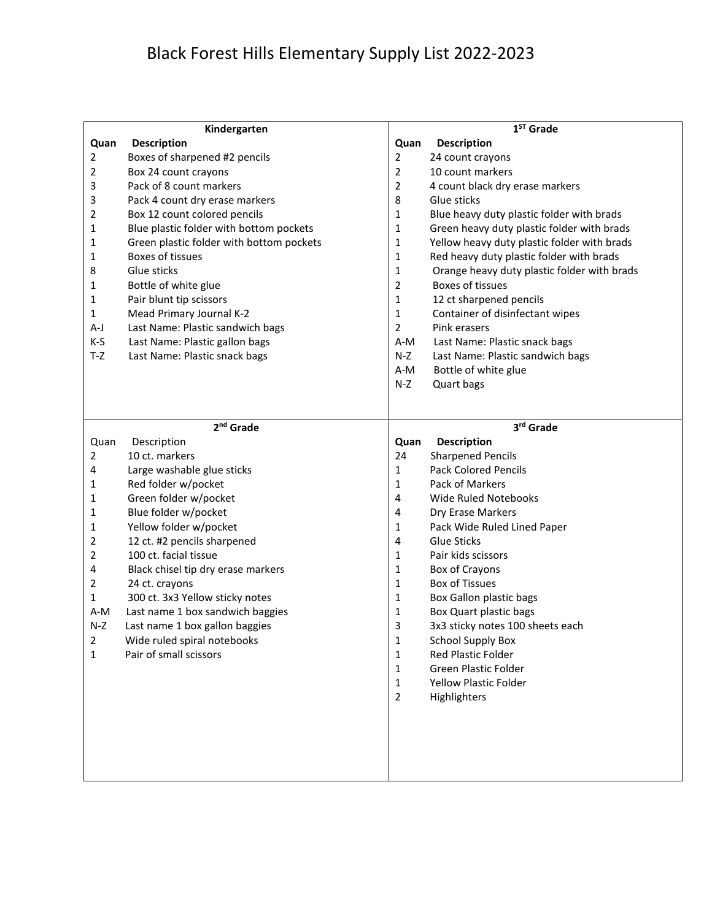## Black Forest Hills Elementary Supply List 2022-2023

| Kindergarten |                                          |                | $1ST$ Grade                                 |  |
|--------------|------------------------------------------|----------------|---------------------------------------------|--|
| Quan         | <b>Description</b>                       | Quan           | <b>Description</b>                          |  |
| 2            | Boxes of sharpened #2 pencils            | 2              | 24 count crayons                            |  |
| 2            | Box 24 count crayons                     | 2              | 10 count markers                            |  |
| 3            | Pack of 8 count markers                  | $\overline{2}$ | 4 count black dry erase markers             |  |
| 3            | Pack 4 count dry erase markers           | 8              | Glue sticks                                 |  |
| 2            | Box 12 count colored pencils             | 1              | Blue heavy duty plastic folder with brads   |  |
| 1            | Blue plastic folder with bottom pockets  | 1              | Green heavy duty plastic folder with brads  |  |
| 1            | Green plastic folder with bottom pockets | 1              | Yellow heavy duty plastic folder with brads |  |
| 1            | Boxes of tissues                         | $\mathbf{1}$   | Red heavy duty plastic folder with brads    |  |
| 8            | Glue sticks                              | $\mathbf{1}$   | Orange heavy duty plastic folder with brads |  |
| 1            | Bottle of white glue                     | $\overline{2}$ | Boxes of tissues                            |  |
| 1            | Pair blunt tip scissors                  | 1              | 12 ct sharpened pencils                     |  |
| 1            | Mead Primary Journal K-2                 | 1              | Container of disinfectant wipes             |  |
| A-J          | Last Name: Plastic sandwich bags         | 2              | Pink erasers                                |  |
| $K-S$        | Last Name: Plastic gallon bags           | A-M            | Last Name: Plastic snack bags               |  |
| $T-Z$        | Last Name: Plastic snack bags            | N-Z            | Last Name: Plastic sandwich bags            |  |
|              |                                          | A-M            | Bottle of white glue                        |  |
|              |                                          | N-Z            | Quart bags                                  |  |
|              |                                          |                |                                             |  |
|              |                                          |                |                                             |  |
|              | 2 <sup>nd</sup> Grade                    |                | 3rd Grade                                   |  |
| Quan         | Description                              | Quan           | <b>Description</b>                          |  |
| 2            | 10 ct. markers                           | 24             | <b>Sharpened Pencils</b>                    |  |
| 4            | Large washable glue sticks               | 1              | <b>Pack Colored Pencils</b>                 |  |
| 1            | Red folder w/pocket                      | 1              | Pack of Markers                             |  |
| 1            | Green folder w/pocket                    | 4              | Wide Ruled Notebooks                        |  |
| 1            | Blue folder w/pocket                     | 4              | Dry Erase Markers                           |  |
| 1            | Yellow folder w/pocket                   | 1              | Pack Wide Ruled Lined Paper                 |  |
| 2            | 12 ct. #2 pencils sharpened              | 4              | <b>Glue Sticks</b>                          |  |
| 2            | 100 ct. facial tissue                    | 1              | Pair kids scissors                          |  |
| 4            | Black chisel tip dry erase markers       | 1              | Box of Crayons                              |  |
| 2            | 24 ct. crayons                           | 1              | <b>Box of Tissues</b>                       |  |
| $\mathbf{1}$ | 300 ct. 3x3 Yellow sticky notes          | $\mathbf{1}$   | Box Gallon plastic bags                     |  |
| A-M          | Last name 1 box sandwich baggies         | 1              | Box Quart plastic bags                      |  |
| N-Z          | Last name 1 box gallon baggies           | 3              | 3x3 sticky notes 100 sheets each            |  |
| 2            | Wide ruled spiral notebooks              | 1              | School Supply Box                           |  |
| $\mathbf{1}$ | Pair of small scissors                   | $\mathbf{1}$   | <b>Red Plastic Folder</b>                   |  |
|              |                                          | 1              | Green Plastic Folder                        |  |
|              |                                          | 1              | <b>Yellow Plastic Folder</b>                |  |
|              |                                          | $\overline{2}$ | Highlighters                                |  |
|              |                                          |                |                                             |  |
|              |                                          |                |                                             |  |
|              |                                          |                |                                             |  |
|              |                                          |                |                                             |  |
|              |                                          |                |                                             |  |
|              |                                          |                |                                             |  |